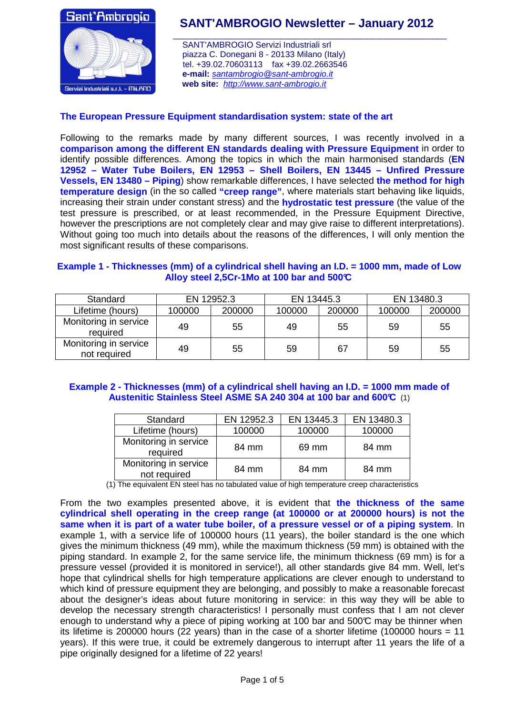

# **SANT'AMBROGIO Newsletter – January 2012**

 SANT'AMBROGIO Servizi Industriali srl piazza C. Donegani 8 - 20133 Milano (Italy) tel. +39.02.70603113 fax +39.02.2663546  **e-mail:** santambrogio@sant-ambrogio.it  **web site:** http://www.sant-ambrogio.it

# **The European Pressure Equipment standardisation system: state of the art**

Following to the remarks made by many different sources, I was recently involved in a **comparison among the different EN standards dealing with Pressure Equipment** in order to identify possible differences. Among the topics in which the main harmonised standards (**EN 12952 – Water Tube Boilers, EN 12953 – Shell Boilers, EN 13445 – Unfired Pressure Vessels, EN 13480 – Piping**) show remarkable differences, I have selected **the method for high temperature design** (in the so called **"creep range"**, where materials start behaving like liquids, increasing their strain under constant stress) and the **hydrostatic test pressure** (the value of the test pressure is prescribed, or at least recommended, in the Pressure Equipment Directive, however the prescriptions are not completely clear and may give raise to different interpretations). Without going too much into details about the reasons of the differences, I will only mention the most significant results of these comparisons.

## **Example 1 - Thicknesses (mm) of a cylindrical shell having an I.D. = 1000 mm, made of Low Alloy steel 2,5Cr-1Mo at 100 bar and 500°C**

| Standard                              | EN 12952.3 |        | EN 13445.3 |        | EN 13480.3 |        |
|---------------------------------------|------------|--------|------------|--------|------------|--------|
| Lifetime (hours)                      | 100000     | 200000 | 100000     | 200000 | 100000     | 200000 |
| Monitoring in service<br>required     | 49         | 55     | 49         | 55     | 59         | 55     |
| Monitoring in service<br>not required | 49         | 55     | 59         | 67     | 59         | 55     |

# **Example 2 - Thicknesses (mm) of a cylindrical shell having an I.D. = 1000 mm made of Austenitic Stainless Steel ASME SA 240 304 at 100 bar and 600°C** (1)

| Standard                              | EN 12952.3 | EN 13445.3 | EN 13480.3 |  |
|---------------------------------------|------------|------------|------------|--|
| Lifetime (hours)                      | 100000     | 100000     | 100000     |  |
| Monitoring in service<br>required     | 84 mm      | 69 mm      | 84 mm      |  |
| Monitoring in service<br>not required | 84 mm      | 84 mm      | 84 mm      |  |

(1) The equivalent EN steel has no tabulated value of high temperature creep characteristics

From the two examples presented above, it is evident that **the thickness of the same cylindrical shell operating in the creep range (at 100000 or at 200000 hours) is not the same when it is part of a water tube boiler, of a pressure vessel or of a piping system**. In example 1, with a service life of 100000 hours (11 years), the boiler standard is the one which gives the minimum thickness (49 mm), while the maximum thickness (59 mm) is obtained with the piping standard. In example 2, for the same service life, the minimum thickness (69 mm) is for a pressure vessel (provided it is monitored in service!), all other standards give 84 mm. Well, let's hope that cylindrical shells for high temperature applications are clever enough to understand to which kind of pressure equipment they are belonging, and possibly to make a reasonable forecast about the designer's ideas about future monitoring in service: in this way they will be able to develop the necessary strength characteristics! I personally must confess that I am not clever enough to understand why a piece of piping working at 100 bar and 500 $\mathbb C$  may be thinner when its lifetime is 200000 hours (22 years) than in the case of a shorter lifetime (100000 hours = 11 years). If this were true, it could be extremely dangerous to interrupt after 11 years the life of a pipe originally designed for a lifetime of 22 years!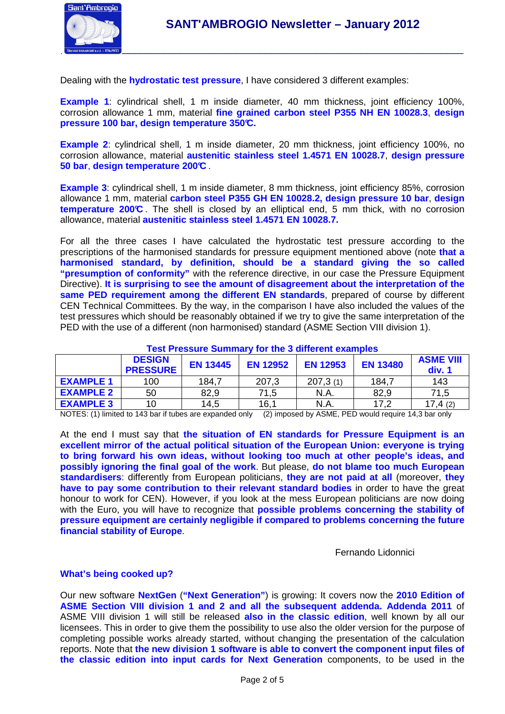

Dealing with the **hydrostatic test pressure**, I have considered 3 different examples:

**Example 1**: cylindrical shell, 1 m inside diameter, 40 mm thickness, joint efficiency 100%, corrosion allowance 1 mm, material **fine grained carbon steel P355 NH EN 10028.3**, **design pressure 100 bar, design temperature 350°C.** 

**Example 2**: cylindrical shell, 1 m inside diameter, 20 mm thickness, joint efficiency 100%, no corrosion allowance, material **austenitic stainless steel 1.4571 EN 10028.7**, **design pressure 50 bar**, **design temperature 200°C** .

**Example 3**: cylindrical shell, 1 m inside diameter, 8 mm thickness, joint efficiency 85%, corrosion allowance 1 mm, material **carbon steel P355 GH EN 10028.2, design pressure 10 bar**, **design temperature 200°C** . The shell is closed by an elliptical end, 5 mm thick, with no corrosion allowance, material **austenitic stainless steel 1.4571 EN 10028.7.**

For all the three cases I have calculated the hydrostatic test pressure according to the prescriptions of the harmonised standards for pressure equipment mentioned above (note **that a harmonised standard, by definition, should be a standard giving the so called "presumption of conformity"** with the reference directive, in our case the Pressure Equipment Directive). **It is surprising to see the amount of disagreement about the interpretation of the same PED requirement among the different EN standards**, prepared of course by different CEN Technical Committees. By the way, in the comparison I have also included the values of the test pressures which should be reasonably obtained if we try to give the same interpretation of the PED with the use of a different (non harmonised) standard (ASME Section VIII division 1).

| <u>I CSL I TESSUI C OUITIITIAI V TUI THE O UITICI CHI CAAITIDICS</u> |                                  |                 |                 |                 |                 |                            |  |  |
|----------------------------------------------------------------------|----------------------------------|-----------------|-----------------|-----------------|-----------------|----------------------------|--|--|
|                                                                      | <b>DESIGN</b><br><b>PRESSURE</b> | <b>EN 13445</b> | <b>EN 12952</b> | <b>EN 12953</b> | <b>EN 13480</b> | <b>ASME VIII</b><br>div. 1 |  |  |
| <b>EXAMPLE 1</b>                                                     | 100                              | 184,7           | 207,3           | 207,3(1)        | 184,7           | 143                        |  |  |
| <b>EXAMPLE 2</b>                                                     | 50                               | 82,9            | 71,5            | N.A             | 82,9            | 71,5                       |  |  |
| <b>EXAMPLE 3</b>                                                     | 10                               | 14,5            | 16.1            | N.A             | 17,2            | 17,4(2)                    |  |  |

## **Test Pressure Summary for the 3 different examples**

NOTES: (1) limited to 143 bar if tubes are expanded only (2) imposed by ASME, PED would require 14,3 bar only

At the end I must say that **the situation of EN standards for Pressure Equipment is an excellent mirror of the actual political situation of the European Union: everyone is trying to bring forward his own ideas, without looking too much at other people's ideas, and possibly ignoring the final goal of the work**. But please, **do not blame too much European standardisers**: differently from European politicians, **they are not paid at all** (moreover, **they have to pay some contribution to their relevant standard bodies** in order to have the great honour to work for CEN). However, if you look at the mess European politicians are now doing with the Euro, you will have to recognize that **possible problems concerning the stability of pressure equipment are certainly negligible if compared to problems concerning the future financial stability of Europe**.

Fernando Lidonnici

#### **What's being cooked up?**

Our new software **NextGen** (**"Next Generation"**) is growing: It covers now the **2010 Edition of ASME Section VIII division 1 and 2 and all the subsequent addenda. Addenda 2011** of ASME VIII division 1 will still be released **also in the classic edition**, well known by all our licensees. This in order to give them the possibility to use also the older version for the purpose of completing possible works already started, without changing the presentation of the calculation reports. Note that **the new division 1 software is able to convert the component input files of the classic edition into input cards for Next Generation** components, to be used in the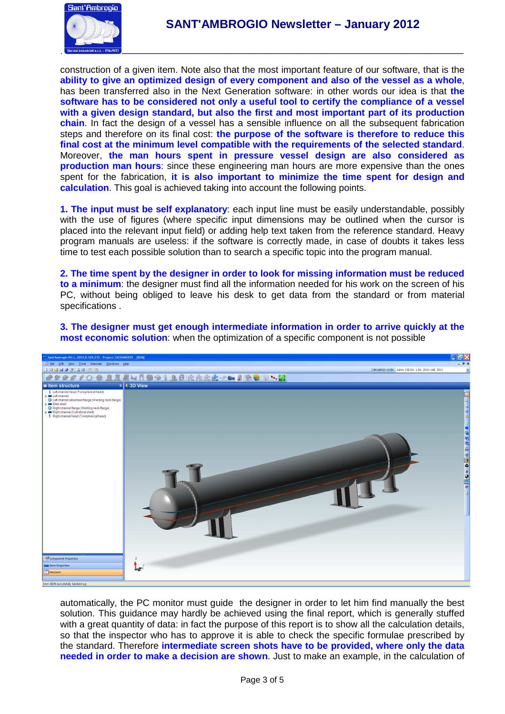

construction of a given item. Note also that the most important feature of our software, that is the **ability to give an optimized design of every component and also of the vessel as a whole**, has been transferred also in the Next Generation software: in other words our idea is that **the software has to be considered not only a useful tool to certify the compliance of a vessel with a given design standard, but also the first and most important part of its production chain**. In fact the design of a vessel has a sensible influence on all the subsequent fabrication steps and therefore on its final cost: **the purpose of the software is therefore to reduce this final cost at the minimum level compatible with the requirements of the selected standard**. Moreover, **the man hours spent in pressure vessel design are also considered as production man hours**: since these engineering man hours are more expensive than the ones spent for the fabrication, **it is also important to minimize the time spent for design and calculation**. This goal is achieved taking into account the following points.

**1. The input must be self explanatory**: each input line must be easily understandable, possibly with the use of figures (where specific input dimensions may be outlined when the cursor is placed into the relevant input field) or adding help text taken from the reference standard. Heavy program manuals are useless: if the software is correctly made, in case of doubts it takes less time to test each possible solution than to search a specific topic into the program manual.

**2. The time spent by the designer in order to look for missing information must be reduced to a minimum**: the designer must find all the information needed for his work on the screen of his PC, without being obliged to leave his desk to get data from the standard or from material specifications .

![](_page_2_Picture_5.jpeg)

**3. The designer must get enough intermediate information in order to arrive quickly at the most economic solution**: when the optimization of a specific component is not possible

automatically, the PC monitor must guide the designer in order to let him find manually the best solution. This guidance may hardly be achieved using the final report, which is generally stuffed with a great quantity of data: in fact the purpose of this report is to show all the calculation details, so that the inspector who has to approve it is able to check the specific formulae prescribed by the standard. Therefore **intermediate screen shots have to be provided, where only the data needed in order to make a decision are shown**. Just to make an example, in the calculation of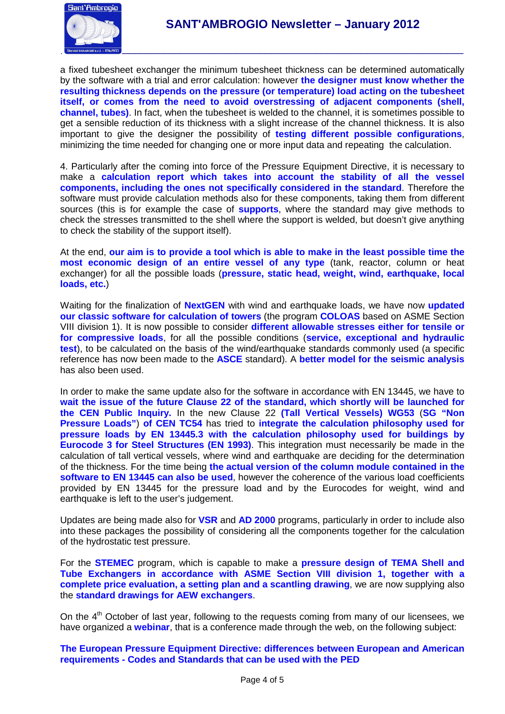![](_page_3_Picture_0.jpeg)

a fixed tubesheet exchanger the minimum tubesheet thickness can be determined automatically by the software with a trial and error calculation: however **the designer must know whether the resulting thickness depends on the pressure (or temperature) load acting on the tubesheet itself, or comes from the need to avoid overstressing of adjacent components (shell, channel, tubes)**. In fact, when the tubesheet is welded to the channel, it is sometimes possible to get a sensible reduction of its thickness with a slight increase of the channel thickness. It is also important to give the designer the possibility of **testing different possible configurations**, minimizing the time needed for changing one or more input data and repeating the calculation.

4. Particularly after the coming into force of the Pressure Equipment Directive, it is necessary to make a **calculation report which takes into account the stability of all the vessel components, including the ones not specifically considered in the standard**. Therefore the software must provide calculation methods also for these components, taking them from different sources (this is for example the case of **supports**, where the standard may give methods to check the stresses transmitted to the shell where the support is welded, but doesn't give anything to check the stability of the support itself).

At the end, **our aim is to provide a tool which is able to make in the least possible time the most economic design of an entire vessel of any type** (tank, reactor, column or heat exchanger) for all the possible loads (**pressure, static head, weight, wind, earthquake, local loads, etc.**)

Waiting for the finalization of **NextGEN** with wind and earthquake loads, we have now **updated our classic software for calculation of towers** (the program **COLOAS** based on ASME Section VIII division 1). It is now possible to consider **different allowable stresses either for tensile or for compressive loads**, for all the possible conditions (**service, exceptional and hydraulic test**), to be calculated on the basis of the wind/earthquake standards commonly used (a specific reference has now been made to the **ASCE** standard). A **better model for the seismic analysis** has also been used.

In order to make the same update also for the software in accordance with EN 13445, we have to **wait the issue of the future Clause 22 of the standard, which shortly will be launched for the CEN Public Inquiry.** In the new Clause 22 **(Tall Vertical Vessels) WG53** (**SG "Non Pressure Loads"**) **of CEN TC54** has tried to **integrate the calculation philosophy used for pressure loads by EN 13445.3 with the calculation philosophy used for buildings by Eurocode 3 for Steel Structures (EN 1993)**. This integration must necessarily be made in the calculation of tall vertical vessels, where wind and earthquake are deciding for the determination of the thickness. For the time being **the actual version of the column module contained in the software to EN 13445 can also be used**, however the coherence of the various load coefficients provided by EN 13445 for the pressure load and by the Eurocodes for weight, wind and earthquake is left to the user's judgement.

Updates are being made also for **VSR** and **AD 2000** programs, particularly in order to include also into these packages the possibility of considering all the components together for the calculation of the hydrostatic test pressure.

For the **STEMEC** program, which is capable to make a **pressure design of TEMA Shell and Tube Exchangers in accordance with ASME Section VIII division 1, together with a complete price evaluation, a setting plan and a scantling drawing**, we are now supplying also the **standard drawings for AEW exchangers**.

On the 4<sup>th</sup> October of last year, following to the requests coming from many of our licensees, we have organized a **webinar**, that is a conference made through the web, on the following subject:

**The European Pressure Equipment Directive: differences between European and American requirements - Codes and Standards that can be used with the PED**